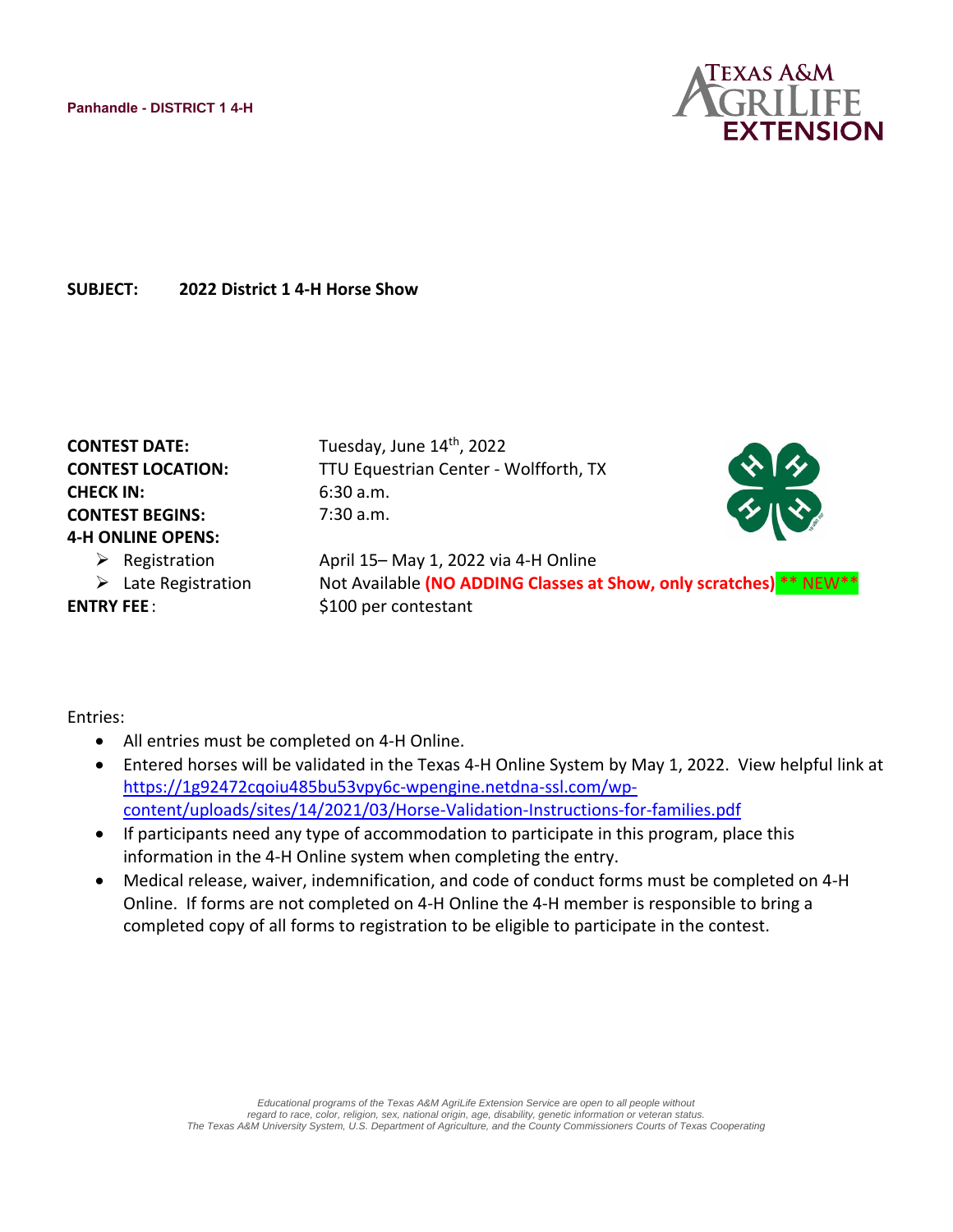

**SUBJECT: 2022 District 1 4-H Horse Show** 

| <b>CONTEST DATE:</b>          | Tuesday, June 14th, 2022                                            |               |
|-------------------------------|---------------------------------------------------------------------|---------------|
| <b>CONTEST LOCATION:</b>      | TTU Equestrian Center - Wolfforth, TX                               | **            |
| <b>CHECK IN:</b>              | 6:30 a.m.                                                           |               |
| <b>CONTEST BEGINS:</b>        | 7:30 a.m.                                                           | $\mathcal{L}$ |
| <b>4-H ONLINE OPENS:</b>      |                                                                     |               |
| $\triangleright$ Registration | April 15-May 1, 2022 via 4-H Online                                 |               |
| Late Registration<br>➤        | Not Available (NO ADDING Classes at Show, only scratches) ** NEW ** |               |
| <b>ENTRY FEE:</b>             | \$100 per contestant                                                |               |

Entries:

- All entries must be completed on 4-H Online.
- Entered horses will be validated in the Texas 4-H Online System by May 1, 2022. View helpful link at [https://1g92472cqoiu485bu53vpy6c-wpengine.netdna-ssl.com/wp](https://1g92472cqoiu485bu53vpy6c-wpengine.netdna-ssl.com/wp-content/uploads/sites/14/2021/03/Horse-Validation-Instructions-for-families.pdf)[content/uploads/sites/14/2021/03/Horse-Validation-Instructions-for-families.pdf](https://1g92472cqoiu485bu53vpy6c-wpengine.netdna-ssl.com/wp-content/uploads/sites/14/2021/03/Horse-Validation-Instructions-for-families.pdf)
- If participants need any type of accommodation to participate in this program, place this information in the 4-H Online system when completing the entry.
- Medical release, waiver, indemnification, and code of conduct forms must be completed on 4-H Online. If forms are not completed on 4-H Online the 4-H member is responsible to bring a completed copy of all forms to registration to be eligible to participate in the contest.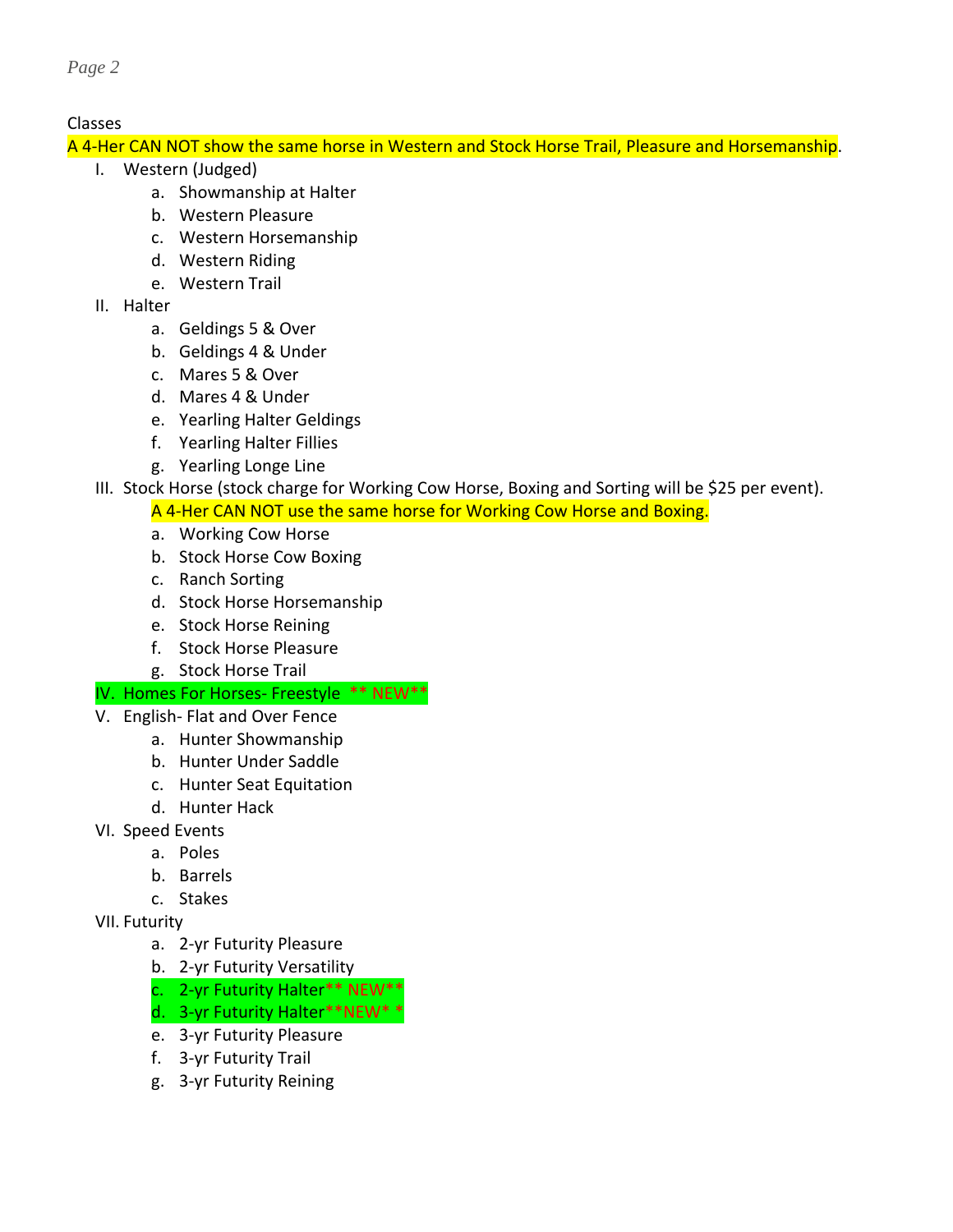## Classes

A 4-Her CAN NOT show the same horse in Western and Stock Horse Trail, Pleasure and Horsemanship.

- I. Western (Judged)
	- a. Showmanship at Halter
	- b. Western Pleasure
	- c. Western Horsemanship
	- d. Western Riding
	- e. Western Trail
- II. Halter
	- a. Geldings 5 & Over
	- b. Geldings 4 & Under
	- c. Mares 5 & Over
	- d. Mares 4 & Under
	- e. Yearling Halter Geldings
	- f. Yearling Halter Fillies
	- g. Yearling Longe Line
- III. Stock Horse (stock charge for Working Cow Horse, Boxing and Sorting will be \$25 per event).
	- A 4-Her CAN NOT use the same horse for Working Cow Horse and Boxing.
	- a. Working Cow Horse
	- b. Stock Horse Cow Boxing
	- c. Ranch Sorting
	- d. Stock Horse Horsemanship
	- e. Stock Horse Reining
	- f. Stock Horse Pleasure
	- g. Stock Horse Trail

## IV. Homes For Horses- Freestyle \*\* NEW\*\*

- V. English- Flat and Over Fence
	- a. Hunter Showmanship
	- b. Hunter Under Saddle
	- c. Hunter Seat Equitation
	- d. Hunter Hack
- VI. Speed Events
	- a. Poles
	- b. Barrels
	- c. Stakes
- VII. Futurity
	- a. 2-yr Futurity Pleasure
	- b. 2-yr Futurity Versatility
	- c. 2-yr Futurity Halter\*\* NEW\*\*
	- d. 3-yr Futurity Halter\*\*NEW\* \*
	- e. 3-yr Futurity Pleasure
	- f. 3-yr Futurity Trail
	- g. 3-yr Futurity Reining